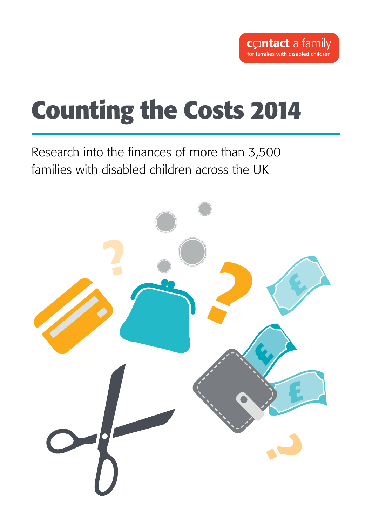## **Counting the Costs 2014**

Research into the finances of more than 3,500 families with disabled children across the UK

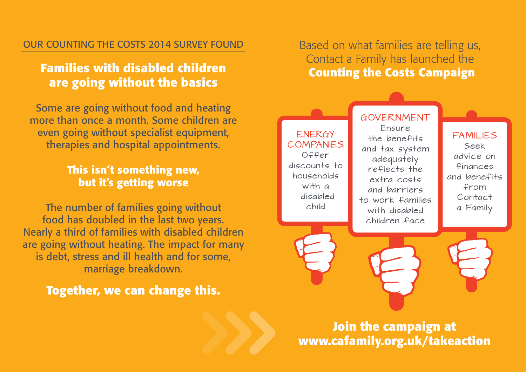#### Our Counting the Costs 2014 survey found

## **Families with disabled children are going without the basics**

Some are going without food and heating more than once a month. Some children are even going without specialist equipment, therapies and hospital appointments.

### **This isn't something new, but it's getting worse**

The number of families going without food has doubled in the last two years. Nearly a third of families with disabled children are going without heating. The impact for many is debt, stress and ill health and for some, marriage breakdown.

**Together, we can change this.**

Based on what families are telling us, Contact a Family has launched the  **Counting the Costs Campaign** 



**Join the campaign at www.cafamily.org.uk/takeaction**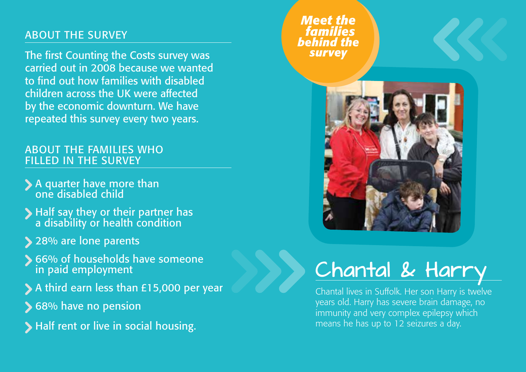### About the survey

The first Counting the Costs survey was carried out in 2008 because we wanted to find out how families with disabled children across the UK were affected by the economic downturn. We have repeated this survey every two years.

### About the families who filled in the survey

- A quarter have more than one disabled child
- Half say they or their partner has a disability or health condition
- > 28% are lone parents
- **S** 66% of households have someone in paid employment
- A third earn less than £15,000 per year
- **S** 68% have no pension
- Half rent or live in social housing.

*Meet the families behind the survey*



# Chantal & Harry

Chantal lives in Suffolk. Her son Harry is twelve years old. Harry has severe brain damage, no immunity and very complex epilepsy which means he has up to 12 seizures a day.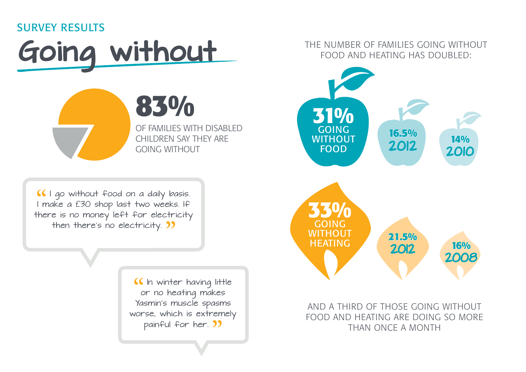### survey results



of families with disabled children Say they are going without

**83%**

I go without food on a daily basis. I make a £30 shop last two weeks. If there is no money left for electricity then there's no electricity. **)** 

> **If** In winter having little or no heating makes Yasmin's muscle spasms worse, which is extremely painful for her. **33**

THE NUMBER OF FAMILIES GOING WITHOUT food and heating has doubled:



And a third of those going without food and heating are doing so more than once a month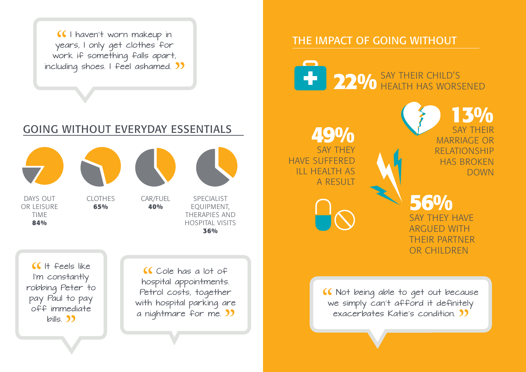I haven't worn makeup in years, I only get clothes for work if something falls apart, including shoes. I feel ashamed. **33** 

## Going without everyday essentials



DAYS OUT OR I FISURE **TIME 84%**

clothes **65%** 

car/fuel



**40%** 



specialist equipment, therapies and hospital visits **36%** 

 $If the$ eels like I'm constantly robbing Peter to pay Paul to pay off immediate  $b$ ills  $33$ 

Cole has a lot of hospital appointments. Petrol costs, together with hospital parking are a nightmare for me. **33** 

### The impact of going without

**22%** SAY THEIR CHILD'S health has worsened

**49%** SAY THEY have suffered ill health as a result

**13%** say their MARRIAGE OR relationship HAS BROKEN **DOWN** 

**56%** say they have **ARGUED WITH** their partner OR CHILDREN

Not being able to get out because we simply can't afford it definitely exacerbates Katie's condition.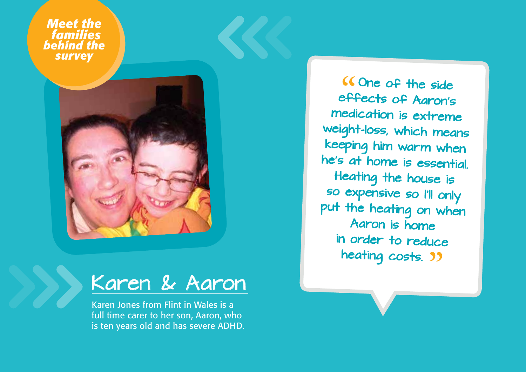*Meet the families behind the survey*



## Karen & Aaron

Karen Jones from Flint in Wales is a full time carer to her son, Aaron, who is ten years old and has severe ADHD.

One of the side effects of Aaron's medication is extreme weight-loss, which means keeping him warm when he's at home is essential. Heating the house is so expensive so I'll only put the heating on when Aaron is home in order to reduce heating costs. **39**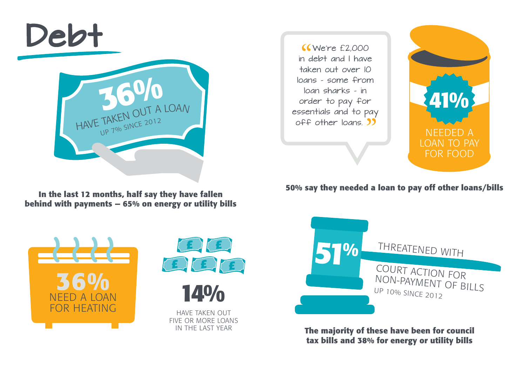

**behind with payments — 65% on energy or utility bills**

**KWe're £2,000** in debt and I have taken out over 10 loans - some from loan sharks - in order to pay for essentials and to pay



**50% say they needed a loan to pay off other loans/bills In the last 12 months, half say they have fallen** 









**The majority of these have been for council tax bills and 38% for energy or utility bills**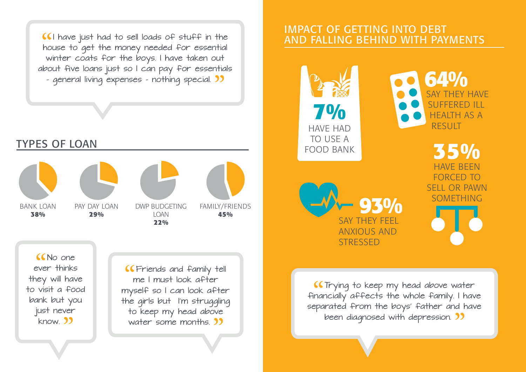I have just had to sell loads of stuff in the house to get the money needed for essential winter coats for the boys. I have taken out about five loans just so I can pay for essentials - general living expenses - nothing special. **33** 



No one ever thinks they will have to visit a food bank but you just never know. 33

**CFriends and family tell** me I must look after myself so I can look after the girls but I'm struggling to keep my head above water some months. **39** 

### Impact of getting into debt and falling behind with payments



**(CTrying to keep my head above water** financially affects the whole family. I have separated from the boys' father and have been diagnosed with depression. **33**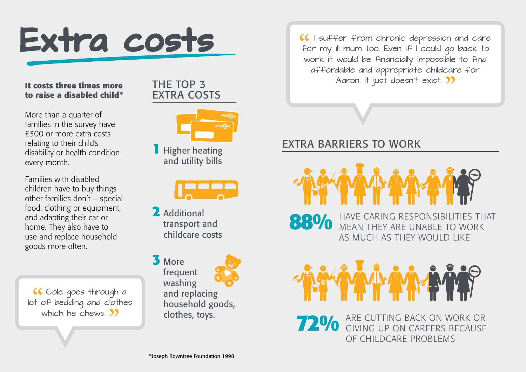

#### **It costs three times more to raise a disabled child\***

More than a quarter of families in the survey have £300 or more extra costs relating to their child's disability or health condition every month.

Families with disabled children have to buy things other families don't – special food, clothing or equipment, and adapting their car or home. They also have to use and replace household goods more often.

**CCole** goes through a lot of bedding and clothes which he chews. **39** 

THE TOP 3 extra costs



**1** Higher heating and utility bills



**2** Additional transport and childcare costs

**3** More frequent washing and replacing household goods, clothes, toys.

I suffer from chronic depression and care for my ill mum too. Even if I could go back to work it would be financially impossible to find affordable and appropriate childcare for Aaron. It just doesn't exist. **33** 

## Extra barriers to work



**88%**  have caring responsibilities that mean they are unable to work as much as they would like



**72%** ARE CUTTING BACK ON WORK OF giving up on careers because of childcare problems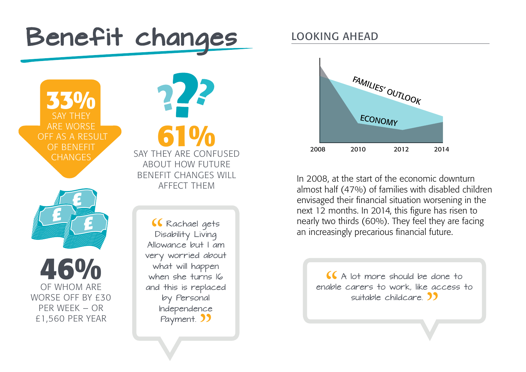

**46%** of whom are WORSE OFF BY £30 per week – or £1,560 per year

Allowance but I am very worried about what will happen when she turns IG and this is replaced by Personal Independence Payment. **33** 

## Looking ahead



In 2008, at the start of the economic downturn almost half (47%) of families with disabled children envisaged their financial situation worsening in the next 12 months. In 2014, this figure has risen to nearly two thirds (60%). They feel they are facing an increasingly precarious financial future.

> $\overline{\mathcal{A}}$  A lot more should be done to enable carers to work, like access to suitable childcare 2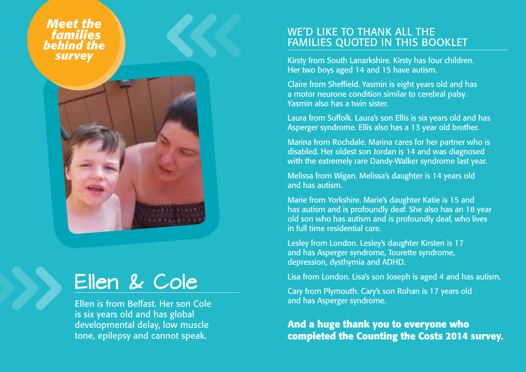*Meet the families behind the survey*



## Ellen & Cole

Ellen is from Belfast. Her son Cole is six years old and has global developmental delay, low muscle tone, epilepsy and cannot speak.

#### WE'D LIKE TO THANK ALL THE families quoted in this booklet

Kirsty from South Lanarkshire. Kirsty has four children. Her two boys aged 14 and 15 have autism.

Claire from Sheffield. Yasmin is eight years old and has a motor neurone condition similar to cerebral palsy. Yasmin also has a twin sister.

Laura from Suffolk. Laura's son Ellis is six years old and has Asperger syndrome. Ellis also has a 13 year old brother.

Marina from Rochdale. Marina cares for her partner who is disabled. Her oldest son Jordan is 14 and was diagnosed with the extremely rare Dandy-Walker syndrome last year.

Melissa from Wigan. Melissa's daughter is 14 years old and has autism.

Marie from Yorkshire. Marie's daughter Katie is 15 and has autism and is profoundly deaf. She also has an 18 year old son who has autism and is profoundly deaf, who lives in full time residential care.

Lesley from London. Lesley's daughter Kirsten is 17 and has Asperger syndrome, Tourette syndrome, depression, dysthymia and ADHD.

Lisa from London. Lisa's son Joseph is aged 4 and has autism.

Cary from Plymouth. Cary's son Rohan is 17 years old and has Asperger syndrome.

**And a huge thank you to everyone who completed the Counting the Costs 2014 survey.**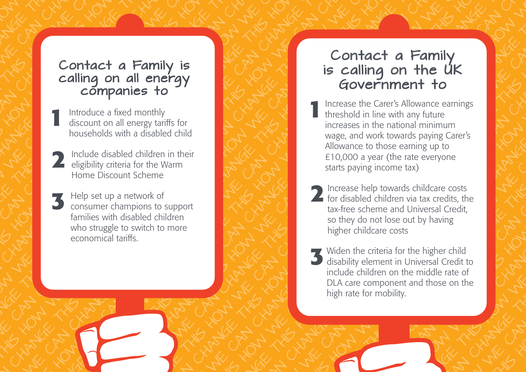## calling on all energy companies to

- **1** Introduce a fixed monthly discount on all energy tariffs for households with a disabled child
- **2** Include disabled children in the eligibility criteria for the Warm Include disabled children in their Home Discount Scheme
- **3** Help set up a network of consumer champions to support families with disabled children who struggle to switch to more economical tariffs.

## Contact a Family is calling on the UK<br>Government to

- Contact a Family is contact a Family is contact a Family is contact a Family is contact a Family is contact a Family is contact a Family is contact a Family is contact a Family is contact a Family is contact a Family is co **1** Increase the Carer's Allowance earnings threshold in line with any future increases in the national minimum wage, and work towards paying Carer's Allowance to those earning up to £10,000 a year (the rate everyone starts paying income tax)
	- 2 Increase help towards childcare costs<br>for disabled children via tax credits, the Increase help towards childcare costs tax-free scheme and Universal Credit, so they do not lose out by having higher childcare costs
	- **3** Widen the criteria for the higher child disability element in Universal Credit to include children on the middle rate of DLA care component and those on the high rate for mobility.